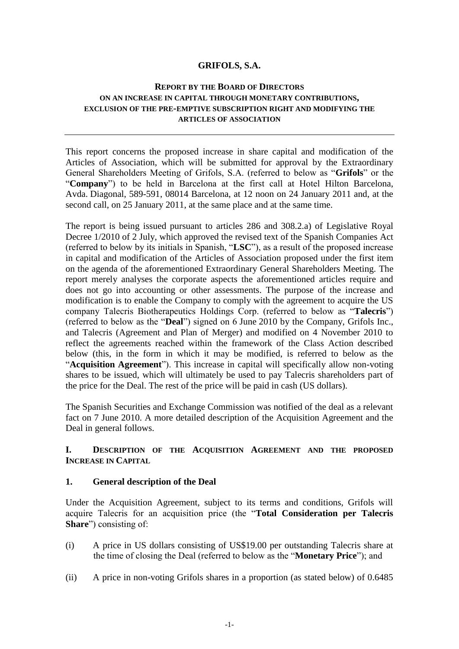## **GRIFOLS, S.A.**

## **REPORT BY THE BOARD OF DIRECTORS ON AN INCREASE IN CAPITAL THROUGH MONETARY CONTRIBUTIONS, EXCLUSION OF THE PRE-EMPTIVE SUBSCRIPTION RIGHT AND MODIFYING THE ARTICLES OF ASSOCIATION**

This report concerns the proposed increase in share capital and modification of the Articles of Association, which will be submitted for approval by the Extraordinary General Shareholders Meeting of Grifols, S.A. (referred to below as "**Grifols**" or the "**Company**") to be held in Barcelona at the first call at Hotel Hilton Barcelona, Avda. Diagonal, 589-591, 08014 Barcelona, at 12 noon on 24 January 2011 and, at the second call, on 25 January 2011, at the same place and at the same time.

The report is being issued pursuant to articles 286 and 308.2.a) of Legislative Royal Decree 1/2010 of 2 July, which approved the revised text of the Spanish Companies Act (referred to below by its initials in Spanish, "**LSC**"), as a result of the proposed increase in capital and modification of the Articles of Association proposed under the first item on the agenda of the aforementioned Extraordinary General Shareholders Meeting. The report merely analyses the corporate aspects the aforementioned articles require and does not go into accounting or other assessments. The purpose of the increase and modification is to enable the Company to comply with the agreement to acquire the US company Talecris Biotherapeutics Holdings Corp. (referred to below as "**Talecris**") (referred to below as the "**Deal**") signed on 6 June 2010 by the Company, Grifols Inc., and Talecris (Agreement and Plan of Merger) and modified on 4 November 2010 to reflect the agreements reached within the framework of the Class Action described below (this, in the form in which it may be modified, is referred to below as the "**Acquisition Agreement**"). This increase in capital will specifically allow non-voting shares to be issued, which will ultimately be used to pay Talecris shareholders part of the price for the Deal. The rest of the price will be paid in cash (US dollars).

The Spanish Securities and Exchange Commission was notified of the deal as a relevant fact on 7 June 2010. A more detailed description of the Acquisition Agreement and the Deal in general follows.

# **I. DESCRIPTION OF THE ACQUISITION AGREEMENT AND THE PROPOSED INCREASE IN CAPITAL**

### **1. General description of the Deal**

Under the Acquisition Agreement, subject to its terms and conditions, Grifols will acquire Talecris for an acquisition price (the "**Total Consideration per Talecris Share**") consisting of:

- (i) A price in US dollars consisting of US\$19.00 per outstanding Talecris share at the time of closing the Deal (referred to below as the "**Monetary Price**"); and
- (ii) A price in non-voting Grifols shares in a proportion (as stated below) of 0.6485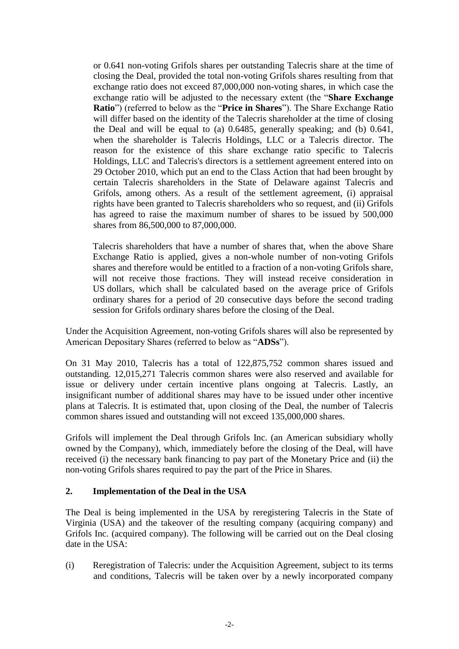or 0.641 non-voting Grifols shares per outstanding Talecris share at the time of closing the Deal, provided the total non-voting Grifols shares resulting from that exchange ratio does not exceed 87,000,000 non-voting shares, in which case the exchange ratio will be adjusted to the necessary extent (the "**Share Exchange Ratio**") (referred to below as the "**Price in Shares**"). The Share Exchange Ratio will differ based on the identity of the Talecris shareholder at the time of closing the Deal and will be equal to (a) 0.6485, generally speaking; and (b) 0.641, when the shareholder is Talecris Holdings, LLC or a Talecris director. The reason for the existence of this share exchange ratio specific to Talecris Holdings, LLC and Talecris's directors is a settlement agreement entered into on 29 October 2010, which put an end to the Class Action that had been brought by certain Talecris shareholders in the State of Delaware against Talecris and Grifols, among others. As a result of the settlement agreement, (i) appraisal rights have been granted to Talecris shareholders who so request, and (ii) Grifols has agreed to raise the maximum number of shares to be issued by 500,000 shares from 86,500,000 to 87,000,000.

Talecris shareholders that have a number of shares that, when the above Share Exchange Ratio is applied, gives a non-whole number of non-voting Grifols shares and therefore would be entitled to a fraction of a non-voting Grifols share, will not receive those fractions. They will instead receive consideration in US dollars, which shall be calculated based on the average price of Grifols ordinary shares for a period of 20 consecutive days before the second trading session for Grifols ordinary shares before the closing of the Deal.

Under the Acquisition Agreement, non-voting Grifols shares will also be represented by American Depositary Shares (referred to below as "**ADSs**").

On 31 May 2010, Talecris has a total of 122,875,752 common shares issued and outstanding. 12,015,271 Talecris common shares were also reserved and available for issue or delivery under certain incentive plans ongoing at Talecris. Lastly, an insignificant number of additional shares may have to be issued under other incentive plans at Talecris. It is estimated that, upon closing of the Deal, the number of Talecris common shares issued and outstanding will not exceed 135,000,000 shares.

Grifols will implement the Deal through Grifols Inc. (an American subsidiary wholly owned by the Company), which, immediately before the closing of the Deal, will have received (i) the necessary bank financing to pay part of the Monetary Price and (ii) the non-voting Grifols shares required to pay the part of the Price in Shares.

### **2. Implementation of the Deal in the USA**

The Deal is being implemented in the USA by reregistering Talecris in the State of Virginia (USA) and the takeover of the resulting company (acquiring company) and Grifols Inc. (acquired company). The following will be carried out on the Deal closing date in the USA:

(i) Reregistration of Talecris: under the Acquisition Agreement, subject to its terms and conditions, Talecris will be taken over by a newly incorporated company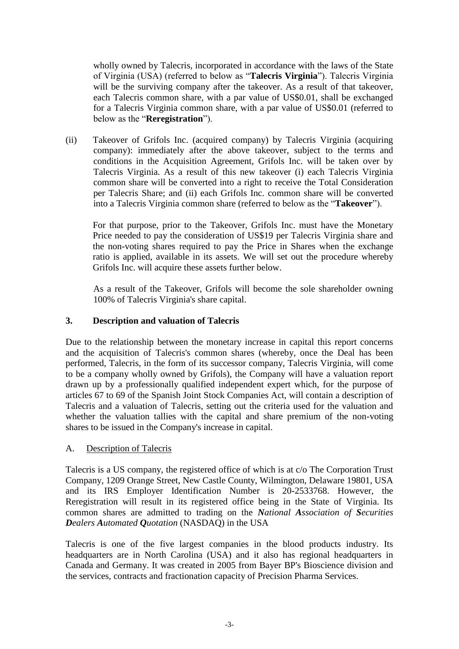wholly owned by Talecris, incorporated in accordance with the laws of the State of Virginia (USA) (referred to below as "**Talecris Virginia**"). Talecris Virginia will be the surviving company after the takeover. As a result of that takeover, each Talecris common share, with a par value of US\$0.01, shall be exchanged for a Talecris Virginia common share, with a par value of US\$0.01 (referred to below as the "**Reregistration**").

(ii) Takeover of Grifols Inc. (acquired company) by Talecris Virginia (acquiring company): immediately after the above takeover, subject to the terms and conditions in the Acquisition Agreement, Grifols Inc. will be taken over by Talecris Virginia. As a result of this new takeover (i) each Talecris Virginia common share will be converted into a right to receive the Total Consideration per Talecris Share; and (ii) each Grifols Inc. common share will be converted into a Talecris Virginia common share (referred to below as the "**Takeover**").

For that purpose, prior to the Takeover, Grifols Inc. must have the Monetary Price needed to pay the consideration of US\$19 per Talecris Virginia share and the non-voting shares required to pay the Price in Shares when the exchange ratio is applied, available in its assets. We will set out the procedure whereby Grifols Inc. will acquire these assets further below.

As a result of the Takeover, Grifols will become the sole shareholder owning 100% of Talecris Virginia's share capital.

# **3. Description and valuation of Talecris**

Due to the relationship between the monetary increase in capital this report concerns and the acquisition of Talecris's common shares (whereby, once the Deal has been performed, Talecris, in the form of its successor company, Talecris Virginia, will come to be a company wholly owned by Grifols), the Company will have a valuation report drawn up by a professionally qualified independent expert which, for the purpose of articles 67 to 69 of the Spanish Joint Stock Companies Act, will contain a description of Talecris and a valuation of Talecris, setting out the criteria used for the valuation and whether the valuation tallies with the capital and share premium of the non-voting shares to be issued in the Company's increase in capital.

# A. Description of Talecris

Talecris is a US company, the registered office of which is at c/o The Corporation Trust Company, 1209 Orange Street, New Castle County, Wilmington, Delaware 19801, USA and its IRS Employer Identification Number is 20-2533768. However, the Reregistration will result in its registered office being in the State of Virginia. Its common shares are admitted to trading on the *National Association of Securities Dealers Automated Quotation* (NASDAQ) in the USA

Talecris is one of the five largest companies in the blood products industry. Its headquarters are in North Carolina (USA) and it also has regional headquarters in Canada and Germany. It was created in 2005 from Bayer BP's Bioscience division and the services, contracts and fractionation capacity of Precision Pharma Services.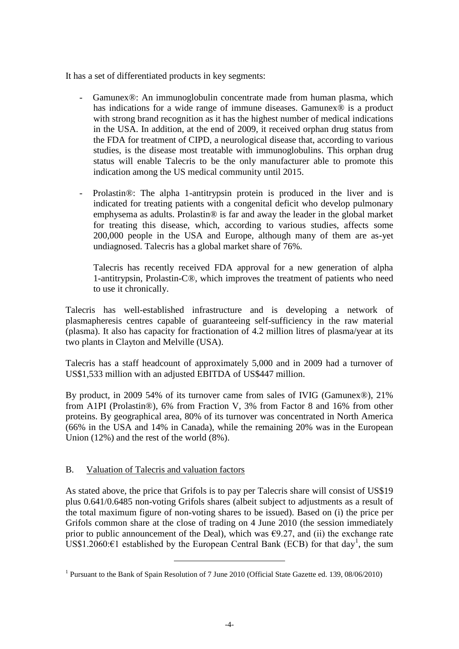It has a set of differentiated products in key segments:

- Gamunex®: An immunoglobulin concentrate made from human plasma, which has indications for a wide range of immune diseases. Gamunex<sup>®</sup> is a product with strong brand recognition as it has the highest number of medical indications in the USA. In addition, at the end of 2009, it received orphan drug status from the FDA for treatment of CIPD, a neurological disease that, according to various studies, is the disease most treatable with immunoglobulins. This orphan drug status will enable Talecris to be the only manufacturer able to promote this indication among the US medical community until 2015.
- Prolastin®: The alpha 1-antitrypsin protein is produced in the liver and is indicated for treating patients with a congenital deficit who develop pulmonary emphysema as adults. Prolastin® is far and away the leader in the global market for treating this disease, which, according to various studies, affects some 200,000 people in the USA and Europe, although many of them are as-yet undiagnosed. Talecris has a global market share of 76%.

Talecris has recently received FDA approval for a new generation of alpha 1-antitrypsin, Prolastin-C®, which improves the treatment of patients who need to use it chronically.

Talecris has well-established infrastructure and is developing a network of plasmapheresis centres capable of guaranteeing self-sufficiency in the raw material (plasma). It also has capacity for fractionation of 4.2 million litres of plasma/year at its two plants in Clayton and Melville (USA).

Talecris has a staff headcount of approximately 5,000 and in 2009 had a turnover of US\$1,533 million with an adjusted EBITDA of US\$447 million.

By product, in 2009 54% of its turnover came from sales of IVIG (Gamunex®), 21% from A1PI (Prolastin®), 6% from Fraction V, 3% from Factor 8 and 16% from other proteins. By geographical area, 80% of its turnover was concentrated in North America (66% in the USA and 14% in Canada), while the remaining 20% was in the European Union (12%) and the rest of the world (8%).

# B. Valuation of Talecris and valuation factors

 $\overline{a}$ 

As stated above, the price that Grifols is to pay per Talecris share will consist of US\$19 plus 0.641/0.6485 non-voting Grifols shares (albeit subject to adjustments as a result of the total maximum figure of non-voting shares to be issued). Based on (i) the price per Grifols common share at the close of trading on 4 June 2010 (the session immediately prior to public announcement of the Deal), which was  $\epsilon$ 9.27, and (ii) the exchange rate US\$1.2060:€1 established by the European Central Bank (ECB) for that day<sup>1</sup>, the sum

<sup>&</sup>lt;sup>1</sup> Pursuant to the Bank of Spain Resolution of 7 June 2010 (Official State Gazette ed. 139, 08/06/2010)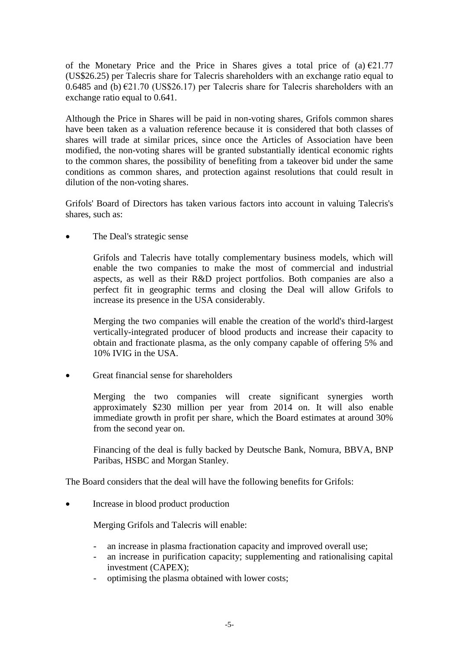of the Monetary Price and the Price in Shares gives a total price of (a)  $\epsilon$ 21.77 (US\$26.25) per Talecris share for Talecris shareholders with an exchange ratio equal to 0.6485 and (b)  $\epsilon$ 21.70 (US\$26.17) per Talecris share for Talecris shareholders with an exchange ratio equal to 0.641.

Although the Price in Shares will be paid in non-voting shares, Grifols common shares have been taken as a valuation reference because it is considered that both classes of shares will trade at similar prices, since once the Articles of Association have been modified, the non-voting shares will be granted substantially identical economic rights to the common shares, the possibility of benefiting from a takeover bid under the same conditions as common shares, and protection against resolutions that could result in dilution of the non-voting shares.

Grifols' Board of Directors has taken various factors into account in valuing Talecris's shares, such as:

The Deal's strategic sense

Grifols and Talecris have totally complementary business models, which will enable the two companies to make the most of commercial and industrial aspects, as well as their R&D project portfolios. Both companies are also a perfect fit in geographic terms and closing the Deal will allow Grifols to increase its presence in the USA considerably.

Merging the two companies will enable the creation of the world's third-largest vertically-integrated producer of blood products and increase their capacity to obtain and fractionate plasma, as the only company capable of offering 5% and 10% IVIG in the USA.

• Great financial sense for shareholders

Merging the two companies will create significant synergies worth approximately \$230 million per year from 2014 on. It will also enable immediate growth in profit per share, which the Board estimates at around 30% from the second year on.

Financing of the deal is fully backed by Deutsche Bank, Nomura, BBVA, BNP Paribas, HSBC and Morgan Stanley.

The Board considers that the deal will have the following benefits for Grifols:

• Increase in blood product production

Merging Grifols and Talecris will enable:

- an increase in plasma fractionation capacity and improved overall use;
- an increase in purification capacity; supplementing and rationalising capital investment (CAPEX);
- optimising the plasma obtained with lower costs;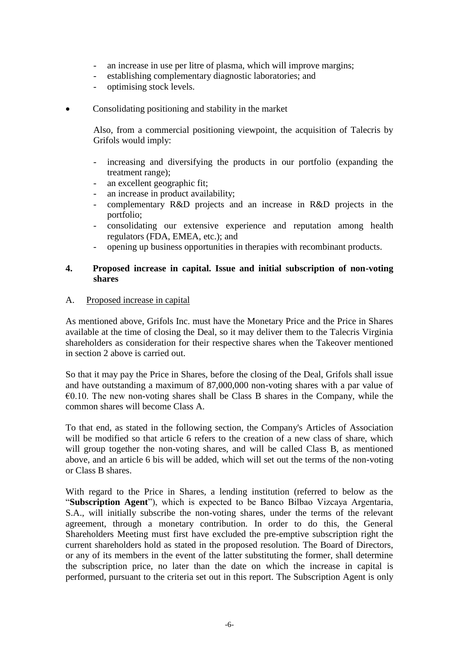- an increase in use per litre of plasma, which will improve margins;
- establishing complementary diagnostic laboratories; and
- optimising stock levels.
- Consolidating positioning and stability in the market

Also, from a commercial positioning viewpoint, the acquisition of Talecris by Grifols would imply:

- increasing and diversifying the products in our portfolio (expanding the treatment range);
- an excellent geographic fit;
- an increase in product availability;
- complementary R&D projects and an increase in R&D projects in the portfolio;
- consolidating our extensive experience and reputation among health regulators (FDA, EMEA, etc.); and
- opening up business opportunities in therapies with recombinant products.

## **4. Proposed increase in capital. Issue and initial subscription of non-voting shares**

### A. Proposed increase in capital

As mentioned above, Grifols Inc. must have the Monetary Price and the Price in Shares available at the time of closing the Deal, so it may deliver them to the Talecris Virginia shareholders as consideration for their respective shares when the Takeover mentioned in section 2 above is carried out.

So that it may pay the Price in Shares, before the closing of the Deal, Grifols shall issue and have outstanding a maximum of 87,000,000 non-voting shares with a par value of  $\epsilon$ 0.10. The new non-voting shares shall be Class B shares in the Company, while the common shares will become Class A.

To that end, as stated in the following section, the Company's Articles of Association will be modified so that article 6 refers to the creation of a new class of share, which will group together the non-voting shares, and will be called Class B, as mentioned above, and an article 6 bis will be added, which will set out the terms of the non-voting or Class B shares.

With regard to the Price in Shares, a lending institution (referred to below as the "**Subscription Agent**"), which is expected to be Banco Bilbao Vizcaya Argentaria, S.A., will initially subscribe the non-voting shares, under the terms of the relevant agreement, through a monetary contribution. In order to do this, the General Shareholders Meeting must first have excluded the pre-emptive subscription right the current shareholders hold as stated in the proposed resolution. The Board of Directors, or any of its members in the event of the latter substituting the former, shall determine the subscription price, no later than the date on which the increase in capital is performed, pursuant to the criteria set out in this report. The Subscription Agent is only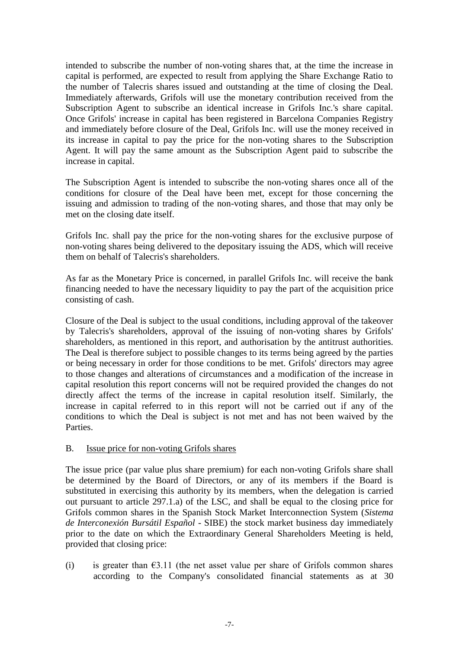intended to subscribe the number of non-voting shares that, at the time the increase in capital is performed, are expected to result from applying the Share Exchange Ratio to the number of Talecris shares issued and outstanding at the time of closing the Deal. Immediately afterwards, Grifols will use the monetary contribution received from the Subscription Agent to subscribe an identical increase in Grifols Inc.'s share capital. Once Grifols' increase in capital has been registered in Barcelona Companies Registry and immediately before closure of the Deal, Grifols Inc. will use the money received in its increase in capital to pay the price for the non-voting shares to the Subscription Agent. It will pay the same amount as the Subscription Agent paid to subscribe the increase in capital.

The Subscription Agent is intended to subscribe the non-voting shares once all of the conditions for closure of the Deal have been met, except for those concerning the issuing and admission to trading of the non-voting shares, and those that may only be met on the closing date itself.

Grifols Inc. shall pay the price for the non-voting shares for the exclusive purpose of non-voting shares being delivered to the depositary issuing the ADS, which will receive them on behalf of Talecris's shareholders.

As far as the Monetary Price is concerned, in parallel Grifols Inc. will receive the bank financing needed to have the necessary liquidity to pay the part of the acquisition price consisting of cash.

Closure of the Deal is subject to the usual conditions, including approval of the takeover by Talecris's shareholders, approval of the issuing of non-voting shares by Grifols' shareholders, as mentioned in this report, and authorisation by the antitrust authorities. The Deal is therefore subject to possible changes to its terms being agreed by the parties or being necessary in order for those conditions to be met. Grifols' directors may agree to those changes and alterations of circumstances and a modification of the increase in capital resolution this report concerns will not be required provided the changes do not directly affect the terms of the increase in capital resolution itself. Similarly, the increase in capital referred to in this report will not be carried out if any of the conditions to which the Deal is subject is not met and has not been waived by the **Parties** 

### B. Issue price for non-voting Grifols shares

The issue price (par value plus share premium) for each non-voting Grifols share shall be determined by the Board of Directors, or any of its members if the Board is substituted in exercising this authority by its members, when the delegation is carried out pursuant to article 297.1.a) of the LSC, and shall be equal to the closing price for Grifols common shares in the Spanish Stock Market Interconnection System (*Sistema de Interconexión Bursátil Español* - SIBE) the stock market business day immediately prior to the date on which the Extraordinary General Shareholders Meeting is held, provided that closing price:

(i) is greater than  $63.11$  (the net asset value per share of Grifols common shares according to the Company's consolidated financial statements as at 30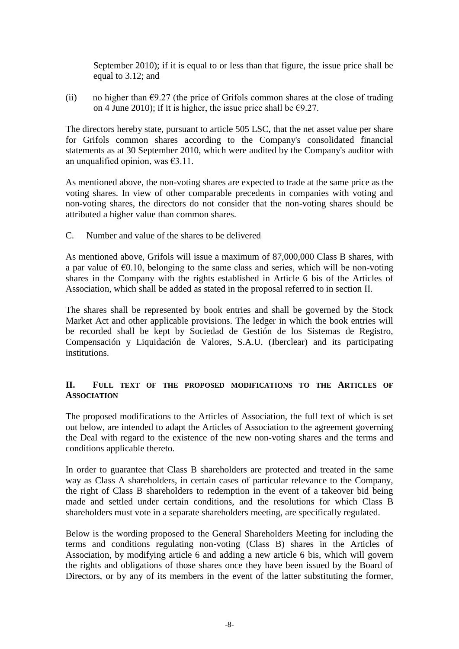September 2010); if it is equal to or less than that figure, the issue price shall be equal to 3.12; and

(ii) no higher than  $\epsilon$ 9.27 (the price of Grifols common shares at the close of trading on 4 June 2010); if it is higher, the issue price shall be  $\epsilon$ 9.27.

The directors hereby state, pursuant to article 505 LSC, that the net asset value per share for Grifols common shares according to the Company's consolidated financial statements as at 30 September 2010, which were audited by the Company's auditor with an unqualified opinion, was  $63.11$ .

As mentioned above, the non-voting shares are expected to trade at the same price as the voting shares. In view of other comparable precedents in companies with voting and non-voting shares, the directors do not consider that the non-voting shares should be attributed a higher value than common shares.

### C. Number and value of the shares to be delivered

As mentioned above, Grifols will issue a maximum of 87,000,000 Class B shares, with a par value of  $\epsilon$ 0.10, belonging to the same class and series, which will be non-voting shares in the Company with the rights established in Article 6 bis of the Articles of Association, which shall be added as stated in the proposal referred to in section II.

The shares shall be represented by book entries and shall be governed by the Stock Market Act and other applicable provisions. The ledger in which the book entries will be recorded shall be kept by Sociedad de Gestión de los Sistemas de Registro, Compensación y Liquidación de Valores, S.A.U. (Iberclear) and its participating institutions.

## **II. FULL TEXT OF THE PROPOSED MODIFICATIONS TO THE ARTICLES OF ASSOCIATION**

The proposed modifications to the Articles of Association, the full text of which is set out below, are intended to adapt the Articles of Association to the agreement governing the Deal with regard to the existence of the new non-voting shares and the terms and conditions applicable thereto.

In order to guarantee that Class B shareholders are protected and treated in the same way as Class A shareholders, in certain cases of particular relevance to the Company, the right of Class B shareholders to redemption in the event of a takeover bid being made and settled under certain conditions, and the resolutions for which Class B shareholders must vote in a separate shareholders meeting, are specifically regulated.

Below is the wording proposed to the General Shareholders Meeting for including the terms and conditions regulating non-voting (Class B) shares in the Articles of Association, by modifying article 6 and adding a new article 6 bis, which will govern the rights and obligations of those shares once they have been issued by the Board of Directors, or by any of its members in the event of the latter substituting the former,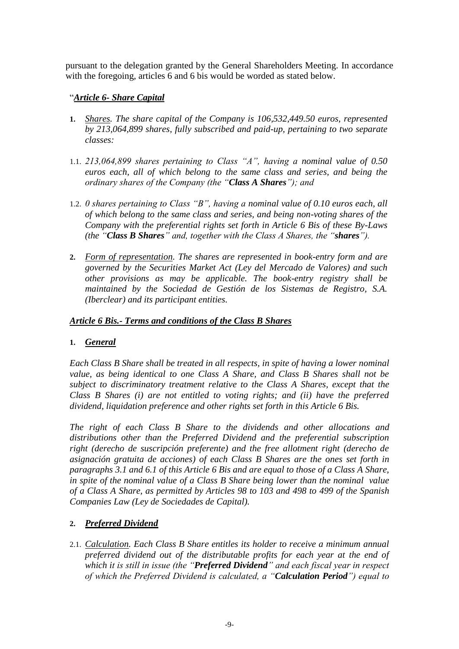pursuant to the delegation granted by the General Shareholders Meeting. In accordance with the foregoing, articles 6 and 6 bis would be worded as stated below.

# "*Article 6- Share Capital*

- **1.** *Shares. The share capital of the Company is 106,532,449.50 euros, represented by 213,064,899 shares, fully subscribed and paid-up, pertaining to two separate classes:*
- 1.1. *213,064,899 shares pertaining to Class "A", having a nominal value of 0.50 euros each, all of which belong to the same class and series, and being the ordinary shares of the Company (the "Class A Shares"); and*
- 1.2. *0 shares pertaining to Class "B", having a nominal value of 0.10 euros each, all of which belong to the same class and series, and being non-voting shares of the Company with the preferential rights set forth in Article 6 Bis of these By-Laws (the "Class B Shares" and, together with the Class A Shares, the "shares").*
- **2.** *Form of representation. The shares are represented in book-entry form and are governed by the Securities Market Act (Ley del Mercado de Valores) and such other provisions as may be applicable. The book-entry registry shall be maintained by the Sociedad de Gestión de los Sistemas de Registro, S.A. (Iberclear) and its participant entities.*

# *Article 6 Bis.- Terms and conditions of the Class B Shares*

# **1.** *General*

*Each Class B Share shall be treated in all respects, in spite of having a lower nominal value, as being identical to one Class A Share, and Class B Shares shall not be subject to discriminatory treatment relative to the Class A Shares, except that the Class B Shares (i) are not entitled to voting rights; and (ii) have the preferred dividend, liquidation preference and other rights set forth in this Article 6 Bis.*

*The right of each Class B Share to the dividends and other allocations and distributions other than the Preferred Dividend and the preferential subscription right (derecho de suscripción preferente) and the free allotment right (derecho de asignación gratuita de acciones) of each Class B Shares are the ones set forth in paragraphs 3.1 and 6.1 of this Article 6 Bis and are equal to those of a Class A Share, in spite of the nominal value of a Class B Share being lower than the nominal value of a Class A Share, as permitted by Articles 98 to 103 and 498 to 499 of the Spanish Companies Law (Ley de Sociedades de Capital).*

# **2.** *Preferred Dividend*

2.1. *Calculation. Each Class B Share entitles its holder to receive a minimum annual preferred dividend out of the distributable profits for each year at the end of which it is still in issue (the "Preferred Dividend" and each fiscal year in respect of which the Preferred Dividend is calculated, a "Calculation Period") equal to*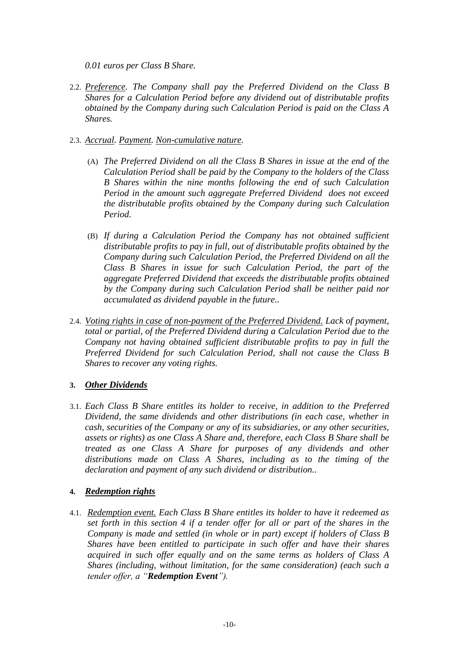*0.01 euros per Class B Share.*

- 2.2. *Preference. The Company shall pay the Preferred Dividend on the Class B Shares for a Calculation Period before any dividend out of distributable profits obtained by the Company during such Calculation Period is paid on the Class A Shares.*
- 2.3. *Accrual. Payment. Non-cumulative nature.*
	- (A) *The Preferred Dividend on all the Class B Shares in issue at the end of the Calculation Period shall be paid by the Company to the holders of the Class B Shares within the nine months following the end of such Calculation Period in the amount such aggregate Preferred Dividend does not exceed the distributable profits obtained by the Company during such Calculation Period.*
	- (B) *If during a Calculation Period the Company has not obtained sufficient distributable profits to pay in full, out of distributable profits obtained by the Company during such Calculation Period, the Preferred Dividend on all the Class B Shares in issue for such Calculation Period, the part of the aggregate Preferred Dividend that exceeds the distributable profits obtained by the Company during such Calculation Period shall be neither paid nor accumulated as dividend payable in the future..*
- 2.4. *Voting rights in case of non-payment of the Preferred Dividend. Lack of payment, total or partial, of the Preferred Dividend during a Calculation Period due to the Company not having obtained sufficient distributable profits to pay in full the Preferred Dividend for such Calculation Period, shall not cause the Class B Shares to recover any voting rights.*

# **3.** *Other Dividends*

3.1. *Each Class B Share entitles its holder to receive, in addition to the Preferred Dividend, the same dividends and other distributions (in each case, whether in cash, securities of the Company or any of its subsidiaries, or any other securities, assets or rights) as one Class A Share and, therefore, each Class B Share shall be treated as one Class A Share for purposes of any dividends and other distributions made on Class A Shares, including as to the timing of the declaration and payment of any such dividend or distribution..*

# **4.** *Redemption rights*

4.1. *Redemption event. Each Class B Share entitles its holder to have it redeemed as set forth in this section 4 if a tender offer for all or part of the shares in the Company is made and settled (in whole or in part) except if holders of Class B Shares have been entitled to participate in such offer and have their shares acquired in such offer equally and on the same terms as holders of Class A Shares (including, without limitation, for the same consideration) (each such a tender offer, a "Redemption Event").*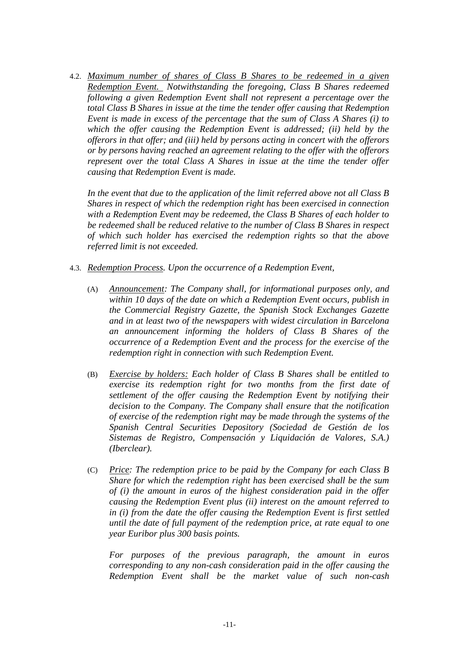4.2. *Maximum number of shares of Class B Shares to be redeemed in a given Redemption Event. Notwithstanding the foregoing, Class B Shares redeemed following a given Redemption Event shall not represent a percentage over the total Class B Shares in issue at the time the tender offer causing that Redemption Event is made in excess of the percentage that the sum of Class A Shares (i) to which the offer causing the Redemption Event is addressed; (ii) held by the offerors in that offer; and (iii) held by persons acting in concert with the offerors or by persons having reached an agreement relating to the offer with the offerors represent over the total Class A Shares in issue at the time the tender offer causing that Redemption Event is made.*

*In the event that due to the application of the limit referred above not all Class B Shares in respect of which the redemption right has been exercised in connection with a Redemption Event may be redeemed, the Class B Shares of each holder to be redeemed shall be reduced relative to the number of Class B Shares in respect of which such holder has exercised the redemption rights so that the above referred limit is not exceeded.*

- 4.3. *Redemption Process. Upon the occurrence of a Redemption Event,* 
	- (A) *Announcement: The Company shall, for informational purposes only, and within 10 days of the date on which a Redemption Event occurs, publish in the Commercial Registry Gazette, the Spanish Stock Exchanges Gazette and in at least two of the newspapers with widest circulation in Barcelona an announcement informing the holders of Class B Shares of the occurrence of a Redemption Event and the process for the exercise of the redemption right in connection with such Redemption Event.*
	- (B) *Exercise by holders: Each holder of Class B Shares shall be entitled to exercise its redemption right for two months from the first date of settlement of the offer causing the Redemption Event by notifying their decision to the Company. The Company shall ensure that the notification of exercise of the redemption right may be made through the systems of the Spanish Central Securities Depository (Sociedad de Gestión de los Sistemas de Registro, Compensación y Liquidación de Valores, S.A.) (Iberclear).*
	- (C) *Price: The redemption price to be paid by the Company for each Class B Share for which the redemption right has been exercised shall be the sum of (i) the amount in euros of the highest consideration paid in the offer causing the Redemption Event plus (ii) interest on the amount referred to in (i) from the date the offer causing the Redemption Event is first settled until the date of full payment of the redemption price, at rate equal to one year Euribor plus 300 basis points.*

*For purposes of the previous paragraph, the amount in euros corresponding to any non-cash consideration paid in the offer causing the Redemption Event shall be the market value of such non-cash*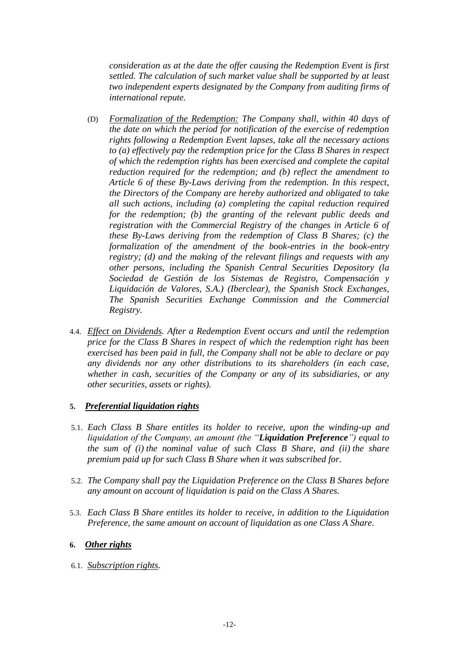*consideration as at the date the offer causing the Redemption Event is first settled. The calculation of such market value shall be supported by at least two independent experts designated by the Company from auditing firms of international repute.*

- (D) *Formalization of the Redemption: The Company shall, within 40 days of the date on which the period for notification of the exercise of redemption rights following a Redemption Event lapses, take all the necessary actions to (a) effectively pay the redemption price for the Class B Shares in respect of which the redemption rights has been exercised and complete the capital reduction required for the redemption; and (b) reflect the amendment to Article 6 of these By-Laws deriving from the redemption. In this respect, the Directors of the Company are hereby authorized and obligated to take all such actions, including (a) completing the capital reduction required for the redemption; (b) the granting of the relevant public deeds and registration with the Commercial Registry of the changes in Article 6 of these By-Laws deriving from the redemption of Class B Shares; (c) the formalization of the amendment of the book-entries in the book-entry registry; (d) and the making of the relevant filings and requests with any other persons, including the Spanish Central Securities Depository (la Sociedad de Gestión de los Sistemas de Registro, Compensación y Liquidación de Valores, S.A.) (Iberclear), the Spanish Stock Exchanges, The Spanish Securities Exchange Commission and the Commercial Registry.*
- 4.4. *Effect on Dividends. After a Redemption Event occurs and until the redemption price for the Class B Shares in respect of which the redemption right has been exercised has been paid in full, the Company shall not be able to declare or pay any dividends nor any other distributions to its shareholders (in each case, whether in cash, securities of the Company or any of its subsidiaries, or any other securities, assets or rights).*

# **5.** *Preferential liquidation rights*

- 5.1. *Each Class B Share entitles its holder to receive, upon the winding-up and liquidation of the Company, an amount (the "Liquidation Preference") equal to the sum of (i) the nominal value of such Class B Share, and (ii) the share premium paid up for such Class B Share when it was subscribed for.*
- 5.2. *The Company shall pay the Liquidation Preference on the Class B Shares before any amount on account of liquidation is paid on the Class A Shares.*
- 5.3. *Each Class B Share entitles its holder to receive, in addition to the Liquidation Preference, the same amount on account of liquidation as one Class A Share.*

### **6.** *Other rights*

6.1. *Subscription rights.*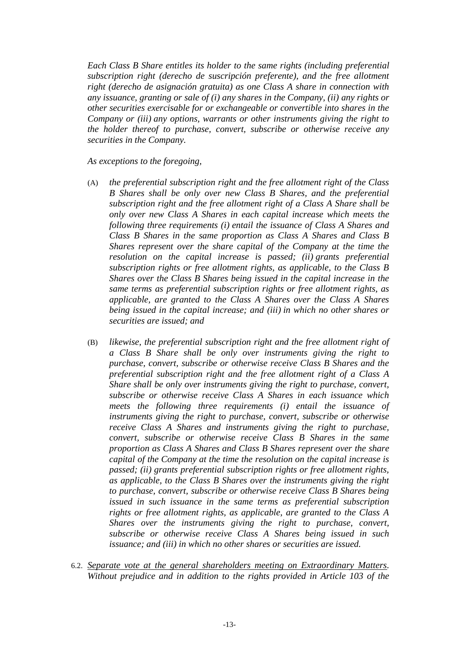*Each Class B Share entitles its holder to the same rights (including preferential subscription right (derecho de suscripción preferente), and the free allotment right (derecho de asignación gratuita) as one Class A share in connection with any issuance, granting or sale of (i) any shares in the Company, (ii) any rights or other securities exercisable for or exchangeable or convertible into shares in the Company or (iii) any options, warrants or other instruments giving the right to the holder thereof to purchase, convert, subscribe or otherwise receive any securities in the Company.* 

#### *As exceptions to the foregoing,*

- (A) *the preferential subscription right and the free allotment right of the Class B Shares shall be only over new Class B Shares, and the preferential subscription right and the free allotment right of a Class A Share shall be only over new Class A Shares in each capital increase which meets the following three requirements (i) entail the issuance of Class A Shares and Class B Shares in the same proportion as Class A Shares and Class B Shares represent over the share capital of the Company at the time the resolution on the capital increase is passed; (ii) grants preferential subscription rights or free allotment rights, as applicable, to the Class B Shares over the Class B Shares being issued in the capital increase in the same terms as preferential subscription rights or free allotment rights, as applicable, are granted to the Class A Shares over the Class A Shares being issued in the capital increase; and (iii) in which no other shares or securities are issued; and*
- (B) *likewise, the preferential subscription right and the free allotment right of a Class B Share shall be only over instruments giving the right to purchase, convert, subscribe or otherwise receive Class B Shares and the preferential subscription right and the free allotment right of a Class A Share shall be only over instruments giving the right to purchase, convert, subscribe or otherwise receive Class A Shares in each issuance which meets the following three requirements (i) entail the issuance of instruments giving the right to purchase, convert, subscribe or otherwise receive Class A Shares and instruments giving the right to purchase, convert, subscribe or otherwise receive Class B Shares in the same proportion as Class A Shares and Class B Shares represent over the share capital of the Company at the time the resolution on the capital increase is passed; (ii) grants preferential subscription rights or free allotment rights, as applicable, to the Class B Shares over the instruments giving the right to purchase, convert, subscribe or otherwise receive Class B Shares being issued in such issuance in the same terms as preferential subscription rights or free allotment rights, as applicable, are granted to the Class A Shares over the instruments giving the right to purchase, convert, subscribe or otherwise receive Class A Shares being issued in such issuance; and (iii) in which no other shares or securities are issued.*
- 6.2. *Separate vote at the general shareholders meeting on Extraordinary Matters. Without prejudice and in addition to the rights provided in Article 103 of the*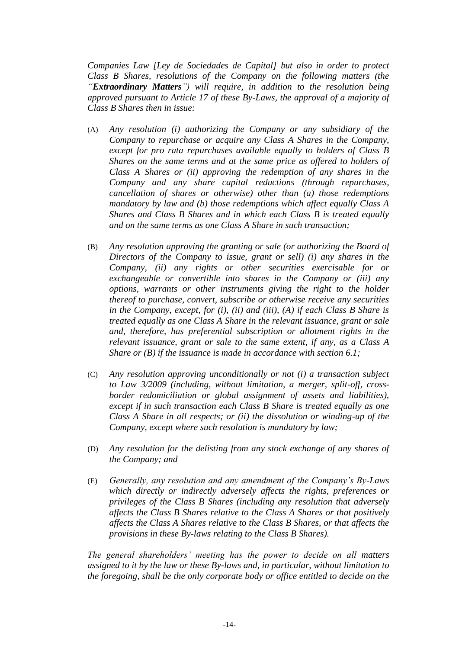*Companies Law [Ley de Sociedades de Capital] but also in order to protect Class B Shares, resolutions of the Company on the following matters (the "Extraordinary Matters") will require, in addition to the resolution being approved pursuant to Article 17 of these By-Laws, the approval of a majority of Class B Shares then in issue:*

- (A) *Any resolution (i) authorizing the Company or any subsidiary of the Company to repurchase or acquire any Class A Shares in the Company, except for pro rata repurchases available equally to holders of Class B Shares on the same terms and at the same price as offered to holders of Class A Shares or (ii) approving the redemption of any shares in the Company and any share capital reductions (through repurchases, cancellation of shares or otherwise) other than (a) those redemptions mandatory by law and (b) those redemptions which affect equally Class A Shares and Class B Shares and in which each Class B is treated equally and on the same terms as one Class A Share in such transaction;*
- (B) *Any resolution approving the granting or sale (or authorizing the Board of Directors of the Company to issue, grant or sell) (i) any shares in the Company, (ii) any rights or other securities exercisable for or exchangeable or convertible into shares in the Company or (iii) any options, warrants or other instruments giving the right to the holder thereof to purchase, convert, subscribe or otherwise receive any securities in the Company, except, for (i), (ii) and (iii), (A) if each Class B Share is treated equally as one Class A Share in the relevant issuance, grant or sale and, therefore, has preferential subscription or allotment rights in the relevant issuance, grant or sale to the same extent, if any, as a Class A Share or (B) if the issuance is made in accordance with section 6.1;*
- (C) *Any resolution approving unconditionally or not (i) a transaction subject to Law 3/2009 (including, without limitation, a merger, split-off, crossborder redomiciliation or global assignment of assets and liabilities), except if in such transaction each Class B Share is treated equally as one Class A Share in all respects; or (ii) the dissolution or winding-up of the Company, except where such resolution is mandatory by law;*
- (D) *Any resolution for the delisting from any stock exchange of any shares of the Company; and*
- (E) *Generally, any resolution and any amendment of the Company's By-Laws which directly or indirectly adversely affects the rights, preferences or privileges of the Class B Shares (including any resolution that adversely affects the Class B Shares relative to the Class A Shares or that positively affects the Class A Shares relative to the Class B Shares, or that affects the provisions in these By-laws relating to the Class B Shares).*

*The general shareholders' meeting has the power to decide on all matters assigned to it by the law or these By-laws and, in particular, without limitation to the foregoing, shall be the only corporate body or office entitled to decide on the*